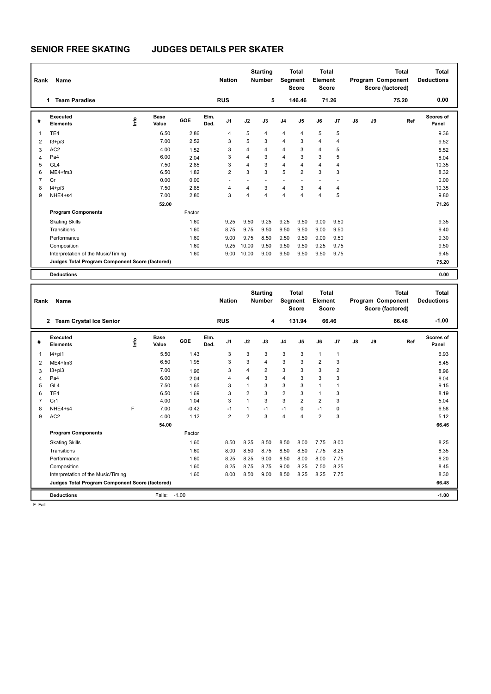# **SENIOR FREE SKATING JUDGES DETAILS PER SKATER**

| Rank           | Name                                            |    |                      |        |              | <b>Nation</b>  |       | <b>Starting</b><br><b>Number</b> | Segment        | <b>Total</b><br><b>Score</b> | <b>Total</b><br>Element<br><b>Score</b> |                |    |    | <b>Total</b><br>Program Component<br>Score (factored) | Total<br><b>Deductions</b> |
|----------------|-------------------------------------------------|----|----------------------|--------|--------------|----------------|-------|----------------------------------|----------------|------------------------------|-----------------------------------------|----------------|----|----|-------------------------------------------------------|----------------------------|
|                | <b>Team Paradise</b><br>1                       |    |                      |        |              | <b>RUS</b>     |       | 5                                |                | 146.46                       |                                         | 71.26          |    |    | 75.20                                                 | 0.00                       |
| #              | Executed<br><b>Elements</b>                     | ١π | <b>Base</b><br>Value | GOE    | Elm.<br>Ded. | J <sub>1</sub> | J2    | J3                               | J <sub>4</sub> | J5                           | J6                                      | J7             | J8 | J9 | Ref                                                   | Scores of<br>Panel         |
| $\overline{1}$ | TE4                                             |    | 6.50                 | 2.86   |              | 4              | 5     | 4                                | $\overline{4}$ | $\overline{4}$               | 5                                       | 5              |    |    |                                                       | 9.36                       |
| 2              | $13 + pi3$                                      |    | 7.00                 | 2.52   |              | 3              | 5     | 3                                | $\overline{4}$ | 3                            | 4                                       | $\overline{4}$ |    |    |                                                       | 9.52                       |
| 3              | AC <sub>2</sub>                                 |    | 4.00                 | 1.52   |              | 3              | 4     | 4                                | 4              | 3                            | 4                                       | 5              |    |    |                                                       | 5.52                       |
| 4              | Pa4                                             |    | 6.00                 | 2.04   |              | 3              | 4     | 3                                | $\overline{4}$ | 3                            | 3                                       | 5              |    |    |                                                       | 8.04                       |
| 5              | GL <sub>4</sub>                                 |    | 7.50                 | 2.85   |              | 3              | 4     | 3                                | $\overline{4}$ | $\overline{4}$               | 4                                       | $\overline{4}$ |    |    |                                                       | 10.35                      |
| 6              | $ME4 + fm3$                                     |    | 6.50                 | 1.82   |              | 2              | 3     | 3                                | 5              | $\overline{2}$               | 3                                       | 3              |    |    |                                                       | 8.32                       |
| $\overline{7}$ | Cr                                              |    | 0.00                 | 0.00   |              |                |       |                                  | ٠              |                              |                                         | ٠              |    |    |                                                       | 0.00                       |
| 8              | $I4+pi3$                                        |    | 7.50                 | 2.85   |              | $\overline{4}$ | 4     | 3                                | $\overline{4}$ | 3                            | 4                                       | $\overline{4}$ |    |    |                                                       | 10.35                      |
| 9              | NHE4+s4                                         |    | 7.00                 | 2.80   |              | 3              | 4     | $\overline{4}$                   | $\overline{4}$ | $\overline{4}$               | $\overline{4}$                          | 5              |    |    |                                                       | 9.80                       |
|                |                                                 |    | 52.00                |        |              |                |       |                                  |                |                              |                                         |                |    |    |                                                       | 71.26                      |
|                | <b>Program Components</b>                       |    |                      | Factor |              |                |       |                                  |                |                              |                                         |                |    |    |                                                       |                            |
|                | <b>Skating Skills</b>                           |    |                      | 1.60   |              | 9.25           | 9.50  | 9.25                             | 9.25           | 9.50                         | 9.00                                    | 9.50           |    |    |                                                       | 9.35                       |
|                | Transitions                                     |    |                      | 1.60   |              | 8.75           | 9.75  | 9.50                             | 9.50           | 9.50                         | 9.00                                    | 9.50           |    |    |                                                       | 9.40                       |
|                | Performance                                     |    |                      | 1.60   |              | 9.00           | 9.75  | 8.50                             | 9.50           | 9.50                         | 9.00                                    | 9.50           |    |    |                                                       | 9.30                       |
|                | Composition                                     |    |                      | 1.60   |              | 9.25           | 10.00 | 9.50                             | 9.50           | 9.50                         | 9.25                                    | 9.75           |    |    |                                                       | 9.50                       |
|                | Interpretation of the Music/Timing              |    |                      | 1.60   |              | 9.00           | 10.00 | 9.00                             | 9.50           | 9.50                         | 9.50                                    | 9.75           |    |    |                                                       | 9.45                       |
|                | Judges Total Program Component Score (factored) |    |                      |        |              |                |       |                                  |                |                              |                                         |                |    |    |                                                       | 75.20                      |
|                | <b>Deductions</b>                               |    |                      |        |              |                |       |                                  |                |                              |                                         |                |    |    |                                                       | 0.00                       |

| Rank           | Name                                            |             |               |         |              | <b>Nation</b>  |                | <b>Starting</b><br><b>Number</b> | Segment        | <b>Total</b><br><b>Score</b> | Total<br>Element<br><b>Score</b> |                |    |    | <b>Total</b><br><b>Program Component</b><br>Score (factored) | <b>Total</b><br><b>Deductions</b> |
|----------------|-------------------------------------------------|-------------|---------------|---------|--------------|----------------|----------------|----------------------------------|----------------|------------------------------|----------------------------------|----------------|----|----|--------------------------------------------------------------|-----------------------------------|
|                | <b>Team Crystal Ice Senior</b><br>$\mathbf{2}$  |             |               |         |              | <b>RUS</b>     |                | 4                                |                | 131.94                       | 66.46                            |                |    |    | 66.48                                                        | $-1.00$                           |
| #              | Executed<br><b>Elements</b>                     | <u>lnfo</u> | Base<br>Value | GOE     | Elm.<br>Ded. | J <sub>1</sub> | J2             | J3                               | J <sub>4</sub> | J <sub>5</sub>               | J6                               | J7             | J8 | J9 | Ref                                                          | Scores of<br>Panel                |
| $\overline{1}$ | $I4+pi1$                                        |             | 5.50          | 1.43    |              | 3              | 3              | 3                                | 3              | 3                            | $\mathbf{1}$                     | $\mathbf{1}$   |    |    |                                                              | 6.93                              |
| $\overline{2}$ | $ME4 + fm3$                                     |             | 6.50          | 1.95    |              | 3              | 3              | $\overline{4}$                   | 3              | 3                            | $\overline{2}$                   | 3              |    |    |                                                              | 8.45                              |
| 3              | $13 + pi3$                                      |             | 7.00          | 1.96    |              | 3              | 4              | $\overline{2}$                   | 3              | 3                            | 3                                | $\overline{2}$ |    |    |                                                              | 8.96                              |
| 4              | Pa4                                             |             | 6.00          | 2.04    |              | 4              | 4              | 3                                | $\overline{4}$ | 3                            | 3                                | 3              |    |    |                                                              | 8.04                              |
| 5              | GL <sub>4</sub>                                 |             | 7.50          | 1.65    |              | 3              | 1              | 3                                | 3              | 3                            | $\mathbf{1}$                     |                |    |    |                                                              | 9.15                              |
| 6              | TE4                                             |             | 6.50          | 1.69    |              | 3              | $\overline{2}$ | 3                                | $\overline{2}$ | 3                            | $\mathbf{1}$                     | 3              |    |    |                                                              | 8.19                              |
| $\overline{7}$ | Cr1                                             |             | 4.00          | 1.04    |              | 3              | $\overline{1}$ | 3                                | 3              | $\overline{2}$               | $\overline{2}$                   | 3              |    |    |                                                              | 5.04                              |
| 8              | NHE4+s4                                         | F           | 7.00          | $-0.42$ |              | $-1$           | 1              | $-1$                             | $-1$           | $\mathbf 0$                  | $-1$                             | 0              |    |    |                                                              | 6.58                              |
| 9              | AC <sub>2</sub>                                 |             | 4.00          | 1.12    |              | $\overline{2}$ | $\overline{2}$ | 3                                | 4              | 4                            | $\overline{2}$                   | 3              |    |    |                                                              | 5.12                              |
|                |                                                 |             | 54.00         |         |              |                |                |                                  |                |                              |                                  |                |    |    |                                                              | 66.46                             |
|                | <b>Program Components</b>                       |             |               | Factor  |              |                |                |                                  |                |                              |                                  |                |    |    |                                                              |                                   |
|                | <b>Skating Skills</b>                           |             |               | 1.60    |              | 8.50           | 8.25           | 8.50                             | 8.50           | 8.00                         | 7.75                             | 8.00           |    |    |                                                              | 8.25                              |
|                | Transitions                                     |             |               | 1.60    |              | 8.00           | 8.50           | 8.75                             | 8.50           | 8.50                         | 7.75                             | 8.25           |    |    |                                                              | 8.35                              |
|                | Performance                                     |             |               | 1.60    |              | 8.25           | 8.25           | 9.00                             | 8.50           | 8.00                         | 8.00                             | 7.75           |    |    |                                                              | 8.20                              |
|                | Composition                                     |             |               | 1.60    |              | 8.25           | 8.75           | 8.75                             | 9.00           | 8.25                         | 7.50                             | 8.25           |    |    |                                                              | 8.45                              |
|                | Interpretation of the Music/Timing              |             |               | 1.60    |              | 8.00           | 8.50           | 9.00                             | 8.50           | 8.25                         | 8.25                             | 7.75           |    |    |                                                              | 8.30                              |
|                | Judges Total Program Component Score (factored) |             |               |         |              |                |                |                                  |                |                              |                                  |                |    |    |                                                              | 66.48                             |
|                | <b>Deductions</b>                               |             | Falls:        | $-1.00$ |              |                |                |                                  |                |                              |                                  |                |    |    |                                                              | $-1.00$                           |

F Fall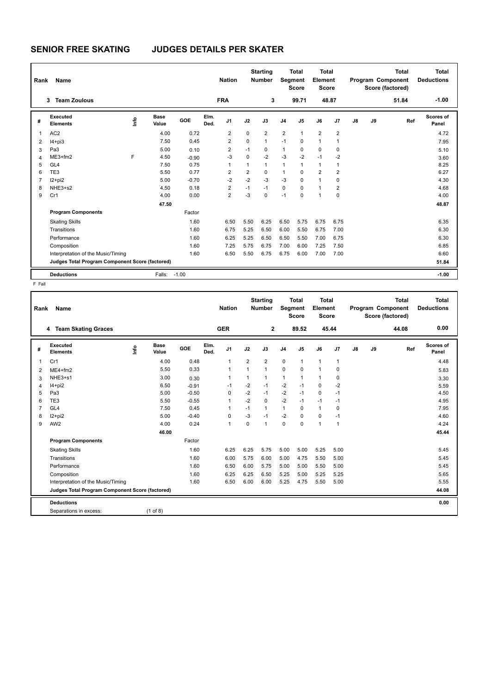# **SENIOR FREE SKATING JUDGES DETAILS PER SKATER**

| Rank | Name                                            |     |                      | <b>Nation</b> |              | <b>Starting</b><br><b>Number</b> |                | Total<br>Segment<br><b>Score</b> |                | Total<br>Element<br><b>Score</b> | <b>Total</b><br>Program Component<br>Score (factored) |                         |               | <b>Total</b><br><b>Deductions</b> |       |                           |
|------|-------------------------------------------------|-----|----------------------|---------------|--------------|----------------------------------|----------------|----------------------------------|----------------|----------------------------------|-------------------------------------------------------|-------------------------|---------------|-----------------------------------|-------|---------------------------|
|      | <b>Team Zoulous</b><br>3                        |     |                      |               |              | <b>FRA</b>                       |                | 3                                |                | 99.71                            | 48.87                                                 |                         |               |                                   | 51.84 | $-1.00$                   |
| #    | Executed<br><b>Elements</b>                     | ١f٥ | <b>Base</b><br>Value | GOE           | Elm.<br>Ded. | J <sub>1</sub>                   | J2             | J3                               | J <sub>4</sub> | J <sub>5</sub>                   | J6                                                    | J7                      | $\mathsf{J}8$ | J9                                | Ref   | <b>Scores of</b><br>Panel |
| 1    | AC <sub>2</sub>                                 |     | 4.00                 | 0.72          |              | $\overline{2}$                   | 0              | $\overline{2}$                   | $\overline{2}$ | $\mathbf{1}$                     | $\overline{2}$                                        | $\overline{2}$          |               |                                   |       | 4.72                      |
| 2    | $I4 + pi3$                                      |     | 7.50                 | 0.45          |              | $\overline{2}$                   | $\Omega$       | $\mathbf{1}$                     | $-1$           | $\Omega$                         | $\overline{1}$                                        |                         |               |                                   |       | 7.95                      |
| 3    | Pa <sub>3</sub>                                 |     | 5.00                 | 0.10          |              | 2                                | $-1$           | 0                                | $\mathbf{1}$   | 0                                | $\mathbf 0$                                           | 0                       |               |                                   |       | 5.10                      |
| 4    | $ME3+fm2$                                       | E   | 4.50                 | $-0.90$       |              | $-3$                             | 0              | $-2$                             | $-3$           | $-2$                             | $-1$                                                  | $-2$                    |               |                                   |       | 3.60                      |
| 5    | GL4                                             |     | 7.50                 | 0.75          |              | 1                                | 1              | $\mathbf{1}$                     | $\mathbf{1}$   | 1                                | $\mathbf{1}$                                          | 1                       |               |                                   |       | 8.25                      |
| 6    | TE <sub>3</sub>                                 |     | 5.50                 | 0.77          |              | 2                                | $\overline{2}$ | 0                                | $\mathbf{1}$   | $\Omega$                         | $\overline{2}$                                        | 2                       |               |                                   |       | 6.27                      |
| 7    | $12+pi2$                                        |     | 5.00                 | $-0.70$       |              | $-2$                             | $-2$           | $-3$                             | $-3$           | 0                                | $\mathbf{1}$                                          | 0                       |               |                                   |       | 4.30                      |
| 8    | NHE3+s2                                         |     | 4.50                 | 0.18          |              | 2                                | $-1$           | $-1$                             | $\mathbf 0$    | 0                                | $\overline{1}$                                        | $\overline{\mathbf{c}}$ |               |                                   |       | 4.68                      |
| 9    | Cr1                                             |     | 4.00                 | 0.00          |              | $\overline{2}$                   | $-3$           | $\mathbf 0$                      | $-1$           | $\Omega$                         | $\overline{1}$                                        | 0                       |               |                                   |       | 4.00                      |
|      |                                                 |     | 47.50                |               |              |                                  |                |                                  |                |                                  |                                                       |                         |               |                                   |       | 48.87                     |
|      | <b>Program Components</b>                       |     |                      | Factor        |              |                                  |                |                                  |                |                                  |                                                       |                         |               |                                   |       |                           |
|      | <b>Skating Skills</b>                           |     |                      | 1.60          |              | 6.50                             | 5.50           | 6.25                             | 6.50           | 5.75                             | 6.75                                                  | 6.75                    |               |                                   |       | 6.35                      |
|      | Transitions                                     |     |                      | 1.60          |              | 6.75                             | 5.25           | 6.50                             | 6.00           | 5.50                             | 6.75                                                  | 7.00                    |               |                                   |       | 6.30                      |
|      | Performance                                     |     |                      | 1.60          |              | 6.25                             | 5.25           | 6.50                             | 6.50           | 5.50                             | 7.00                                                  | 6.75                    |               |                                   |       | 6.30                      |
|      | Composition                                     |     |                      | 1.60          |              | 7.25                             | 5.75           | 6.75                             | 7.00           | 6.00                             | 7.25                                                  | 7.50                    |               |                                   |       | 6.85                      |
|      | Interpretation of the Music/Timing              |     |                      | 1.60          |              | 6.50                             | 5.50           | 6.75                             | 6.75           | 6.00                             | 7.00                                                  | 7.00                    |               |                                   |       | 6.60                      |
|      | Judges Total Program Component Score (factored) |     |                      |               |              |                                  |                |                                  |                |                                  |                                                       |                         |               |                                   |       | 51.84                     |
|      | <b>Deductions</b>                               |     | Falls:               | $-1.00$       |              |                                  |                |                                  |                |                                  |                                                       |                         |               |                                   |       | $-1.00$                   |

F Fall

| Rank           | Name                                            |                      |         |              | <b>Nation</b>  |                | <b>Starting</b><br><b>Number</b> |                | <b>Total</b><br>Segment<br><b>Score</b> | Total<br>Element<br><b>Score</b> |                |    |       | <b>Total</b><br><b>Program Component</b><br>Score (factored) | <b>Total</b><br><b>Deductions</b> |
|----------------|-------------------------------------------------|----------------------|---------|--------------|----------------|----------------|----------------------------------|----------------|-----------------------------------------|----------------------------------|----------------|----|-------|--------------------------------------------------------------|-----------------------------------|
|                | 4 Team Skating Graces                           |                      |         |              | <b>GER</b>     |                | $\mathbf 2$                      |                | 89.52                                   |                                  | 45.44          |    |       | 44.08                                                        | 0.00                              |
| #              | <b>Executed</b><br>lnfo<br><b>Elements</b>      | <b>Base</b><br>Value | GOE     | Elm.<br>Ded. | J <sub>1</sub> | J2             | J3                               | J <sub>4</sub> | J <sub>5</sub>                          | J6                               | J <sub>7</sub> | J8 | J9    | Ref                                                          | <b>Scores of</b><br>Panel         |
| 1              | Cr1                                             | 4.00                 | 0.48    |              | $\overline{1}$ | $\overline{2}$ | $\overline{2}$                   | $\mathbf 0$    | $\mathbf{1}$                            | $\mathbf{1}$                     | 1              |    |       |                                                              | 4.48                              |
| 2              | $ME4 + fm2$                                     | 5.50                 | 0.33    |              | $\overline{1}$ | $\mathbf{1}$   | $\mathbf{1}$                     | 0              | 0                                       | $\mathbf{1}$                     | 0              |    |       |                                                              | 5.83                              |
| 3              | NHE3+s1                                         | 3.00                 | 0.30    |              | -1             | 1              | $\mathbf{1}$                     | $\mathbf{1}$   | 1                                       | $\mathbf{1}$                     | 0              |    |       |                                                              | 3.30                              |
| 4              | $14+pi2$                                        | 6.50                 | $-0.91$ |              | $-1$           | $-2$           | $-1$                             | $-2$           | $-1$                                    | $\mathbf 0$                      | $-2$           |    |       |                                                              | 5.59                              |
| 5              | Pa3                                             | 5.00                 | $-0.50$ |              | $\Omega$       | $-2$           | $-1$                             | $-2$           | $-1$                                    | $\mathbf 0$                      | $-1$           |    |       |                                                              | 4.50                              |
| 6              | TE3                                             | 5.50                 | $-0.55$ |              | 1              | $-2$           | $\mathbf 0$                      | $-2$           | $-1$                                    | $-1$                             | $-1$           |    |       |                                                              | 4.95                              |
| $\overline{7}$ | GL <sub>4</sub>                                 | 7.50                 | 0.45    |              | -1             | $-1$           | $\mathbf{1}$                     | $\mathbf{1}$   | $\Omega$                                | $\mathbf{1}$                     | 0              |    |       |                                                              | 7.95                              |
| 8              | $12+pi2$                                        | 5.00                 | $-0.40$ |              | 0              | $-3$           | $-1$                             | $-2$           | $\Omega$                                | 0                                | $-1$           |    |       |                                                              | 4.60                              |
| 9              | AW <sub>2</sub>                                 | 4.00                 | 0.24    |              | $\overline{1}$ | $\mathbf 0$    | $\mathbf{1}$                     | 0              | $\mathbf 0$                             | $\overline{1}$                   | $\mathbf{1}$   |    |       |                                                              | 4.24                              |
|                |                                                 | 46.00                |         |              |                |                |                                  |                |                                         |                                  |                |    |       |                                                              | 45.44                             |
|                | <b>Program Components</b>                       |                      | Factor  |              |                |                |                                  |                |                                         |                                  |                |    |       |                                                              |                                   |
|                | <b>Skating Skills</b>                           |                      | 1.60    |              | 6.25           | 6.25           | 5.75                             | 5.00           | 5.00                                    | 5.25                             | 5.00           |    |       |                                                              | 5.45                              |
|                | Transitions                                     |                      | 1.60    |              | 6.00           | 5.75           | 6.00                             | 5.00           | 4.75                                    | 5.50                             | 5.00           |    |       |                                                              | 5.45                              |
|                | Performance                                     |                      | 1.60    |              | 6.50           | 6.00           | 5.75                             | 5.00           | 5.00                                    | 5.50                             | 5.00           |    |       |                                                              | 5.45                              |
|                | Composition                                     |                      | 1.60    |              | 6.25           | 6.25           | 6.50                             | 5.25           | 5.00                                    | 5.25                             | 5.25           |    |       |                                                              | 5.65                              |
|                | Interpretation of the Music/Timing              |                      | 1.60    |              | 6.50           | 6.00           | 6.00                             | 5.25           | 4.75                                    | 5.50                             | 5.00           |    |       |                                                              | 5.55                              |
|                | Judges Total Program Component Score (factored) |                      |         |              |                |                |                                  |                |                                         |                                  |                |    | 44.08 |                                                              |                                   |
|                | <b>Deductions</b>                               |                      |         |              |                |                |                                  |                |                                         |                                  |                |    |       |                                                              | 0.00                              |
|                | Separations in excess:                          | $(1$ of 8)           |         |              |                |                |                                  |                |                                         |                                  |                |    |       |                                                              |                                   |